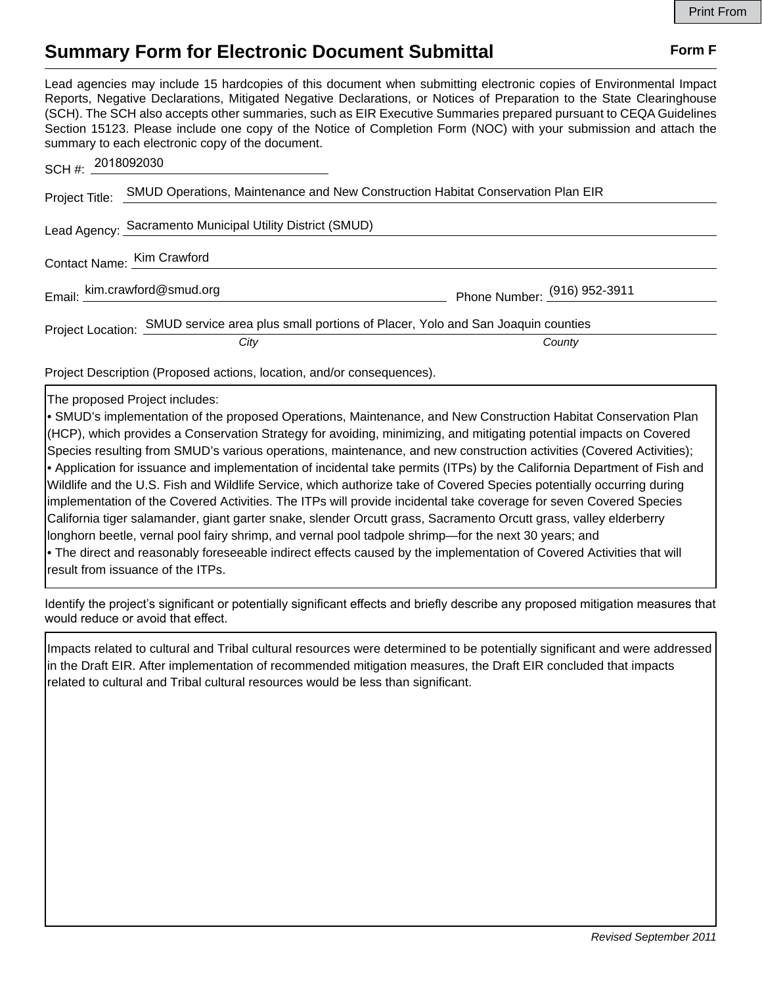## **Summary Form for Electronic Document Submittal Form F Form F**

Lead agencies may include 15 hardcopies of this document when submitting electronic copies of Environmental Impact Reports, Negative Declarations, Mitigated Negative Declarations, or Notices of Preparation to the State Clearinghouse (SCH). The SCH also accepts other summaries, such as EIR Executive Summaries prepared pursuant to CEQA Guidelines Section 15123. Please include one copy of the Notice of Completion Form (NOC) with your submission and attach the summary to each electronic copy of the document.

| SCH #: 2018092030                                         |                                                                                                  |                              |
|-----------------------------------------------------------|--------------------------------------------------------------------------------------------------|------------------------------|
| Project Title:                                            | SMUD Operations, Maintenance and New Construction Habitat Conservation Plan EIR                  |                              |
| Lead Agency: Sacramento Municipal Utility District (SMUD) |                                                                                                  |                              |
| Contact Name: Kim Crawford                                |                                                                                                  |                              |
|                                                           | Email: kim.crawford@smud.org                                                                     | Phone Number: (916) 952-3911 |
|                                                           | Project Location: SMUD service area plus small portions of Placer, Yolo and San Joaquin counties |                              |
|                                                           | City                                                                                             | County                       |

Project Description (Proposed actions, location, and/or consequences).

The proposed Project includes:

• SMUD's implementation of the proposed Operations, Maintenance, and New Construction Habitat Conservation Plan (HCP), which provides a Conservation Strategy for avoiding, minimizing, and mitigating potential impacts on Covered Species resulting from SMUD's various operations, maintenance, and new construction activities (Covered Activities); • Application for issuance and implementation of incidental take permits (ITPs) by the California Department of Fish and Wildlife and the U.S. Fish and Wildlife Service, which authorize take of Covered Species potentially occurring during implementation of the Covered Activities. The ITPs will provide incidental take coverage for seven Covered Species California tiger salamander, giant garter snake, slender Orcutt grass, Sacramento Orcutt grass, valley elderberry longhorn beetle, vernal pool fairy shrimp, and vernal pool tadpole shrimp—for the next 30 years; and • The direct and reasonably foreseeable indirect effects caused by the implementation of Covered Activities that will result from issuance of the ITPs.

Identify the project's significant or potentially significant effects and briefly describe any proposed mitigation measures that would reduce or avoid that effect.

Impacts related to cultural and Tribal cultural resources were determined to be potentially significant and were addressed in the Draft EIR. After implementation of recommended mitigation measures, the Draft EIR concluded that impacts related to cultural and Tribal cultural resources would be less than significant.